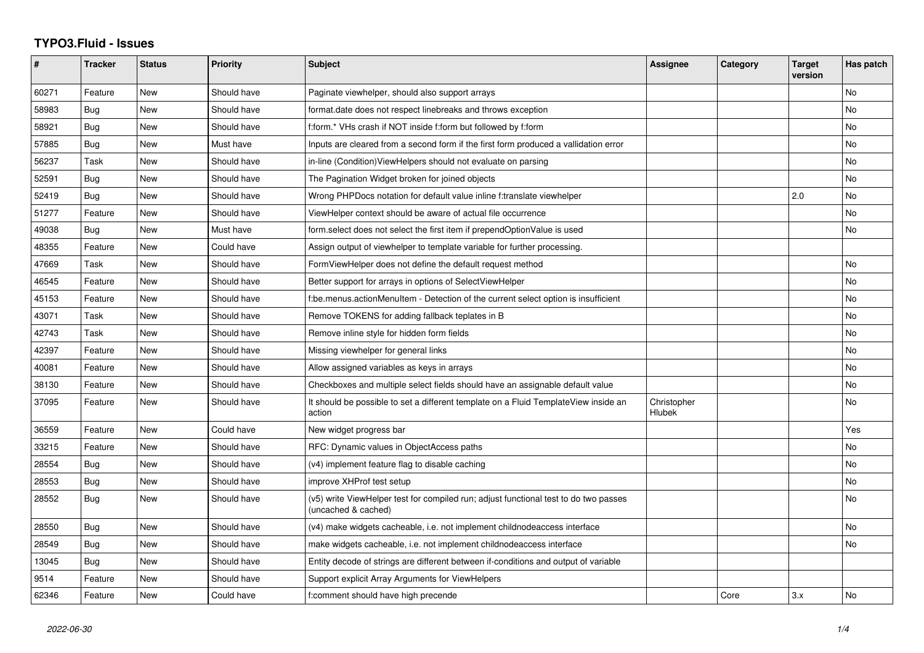## **TYPO3.Fluid - Issues**

| #     | <b>Tracker</b> | <b>Status</b> | <b>Priority</b> | <b>Subject</b>                                                                                              | <b>Assignee</b>              | Category | <b>Target</b><br>version | Has patch |
|-------|----------------|---------------|-----------------|-------------------------------------------------------------------------------------------------------------|------------------------------|----------|--------------------------|-----------|
| 60271 | Feature        | <b>New</b>    | Should have     | Paginate viewhelper, should also support arrays                                                             |                              |          |                          | <b>No</b> |
| 58983 | Bug            | New           | Should have     | format.date does not respect linebreaks and throws exception                                                |                              |          |                          | No        |
| 58921 | Bug            | <b>New</b>    | Should have     | f:form.* VHs crash if NOT inside f:form but followed by f:form                                              |                              |          |                          | No        |
| 57885 | Bug            | New           | Must have       | Inputs are cleared from a second form if the first form produced a vallidation error                        |                              |          |                          | No        |
| 56237 | Task           | New           | Should have     | in-line (Condition) View Helpers should not evaluate on parsing                                             |                              |          |                          | No        |
| 52591 | Bug            | <b>New</b>    | Should have     | The Pagination Widget broken for joined objects                                                             |                              |          |                          | <b>No</b> |
| 52419 | Bug            | <b>New</b>    | Should have     | Wrong PHPDocs notation for default value inline f:translate viewhelper                                      |                              |          | 2.0                      | No        |
| 51277 | Feature        | <b>New</b>    | Should have     | ViewHelper context should be aware of actual file occurrence                                                |                              |          |                          | <b>No</b> |
| 49038 | Bug            | New           | Must have       | form.select does not select the first item if prependOptionValue is used                                    |                              |          |                          | <b>No</b> |
| 48355 | Feature        | <b>New</b>    | Could have      | Assign output of viewhelper to template variable for further processing.                                    |                              |          |                          |           |
| 47669 | Task           | New           | Should have     | FormViewHelper does not define the default request method                                                   |                              |          |                          | No        |
| 46545 | Feature        | <b>New</b>    | Should have     | Better support for arrays in options of SelectViewHelper                                                    |                              |          |                          | No        |
| 45153 | Feature        | New           | Should have     | f:be.menus.actionMenuItem - Detection of the current select option is insufficient                          |                              |          |                          | No        |
| 43071 | Task           | New           | Should have     | Remove TOKENS for adding fallback teplates in B                                                             |                              |          |                          | No        |
| 42743 | Task           | <b>New</b>    | Should have     | Remove inline style for hidden form fields                                                                  |                              |          |                          | No        |
| 42397 | Feature        | New           | Should have     | Missing viewhelper for general links                                                                        |                              |          |                          | <b>No</b> |
| 40081 | Feature        | <b>New</b>    | Should have     | Allow assigned variables as keys in arrays                                                                  |                              |          |                          | No        |
| 38130 | Feature        | <b>New</b>    | Should have     | Checkboxes and multiple select fields should have an assignable default value                               |                              |          |                          | No        |
| 37095 | Feature        | New           | Should have     | It should be possible to set a different template on a Fluid TemplateView inside an<br>action               | Christopher<br><b>Hlubek</b> |          |                          | No        |
| 36559 | Feature        | <b>New</b>    | Could have      | New widget progress bar                                                                                     |                              |          |                          | Yes       |
| 33215 | Feature        | <b>New</b>    | Should have     | RFC: Dynamic values in ObjectAccess paths                                                                   |                              |          |                          | No        |
| 28554 | <b>Bug</b>     | <b>New</b>    | Should have     | (v4) implement feature flag to disable caching                                                              |                              |          |                          | No        |
| 28553 | Bug            | <b>New</b>    | Should have     | improve XHProf test setup                                                                                   |                              |          |                          | <b>No</b> |
| 28552 | Bug            | <b>New</b>    | Should have     | (v5) write ViewHelper test for compiled run; adjust functional test to do two passes<br>(uncached & cached) |                              |          |                          | No        |
| 28550 | Bug            | New           | Should have     | (v4) make widgets cacheable, i.e. not implement childnodeaccess interface                                   |                              |          |                          | No        |
| 28549 | Bug            | New           | Should have     | make widgets cacheable, i.e. not implement childnodeaccess interface                                        |                              |          |                          | <b>No</b> |
| 13045 | <b>Bug</b>     | <b>New</b>    | Should have     | Entity decode of strings are different between if-conditions and output of variable                         |                              |          |                          |           |
| 9514  | Feature        | New           | Should have     | Support explicit Array Arguments for ViewHelpers                                                            |                              |          |                          |           |
| 62346 | Feature        | <b>New</b>    | Could have      | f:comment should have high precende                                                                         |                              | Core     | 3.x                      | No        |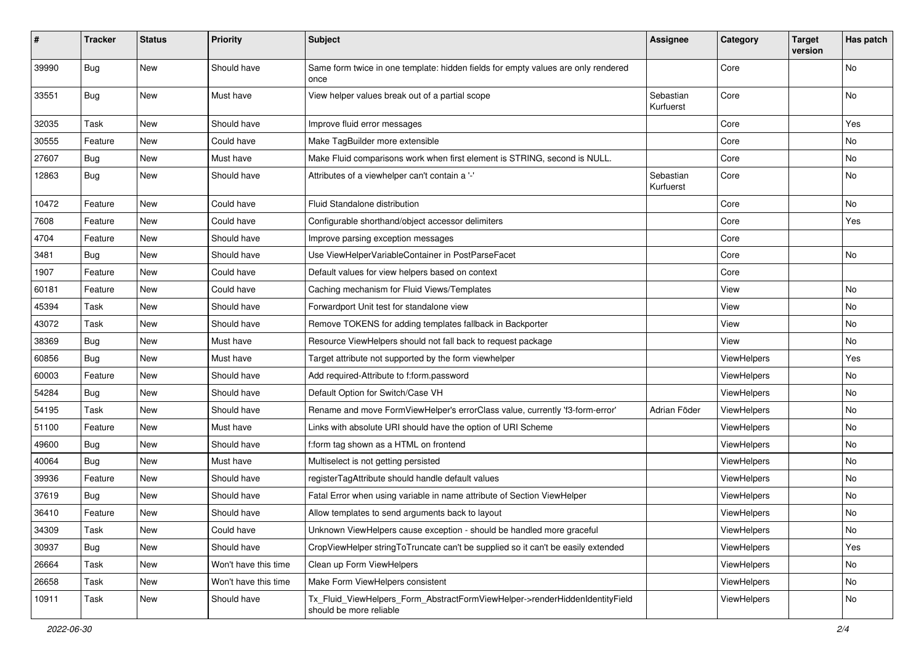| #     | <b>Tracker</b> | <b>Status</b> | <b>Priority</b>      | Subject                                                                                                | <b>Assignee</b>        | Category           | <b>Target</b><br>version | Has patch |
|-------|----------------|---------------|----------------------|--------------------------------------------------------------------------------------------------------|------------------------|--------------------|--------------------------|-----------|
| 39990 | Bug            | New           | Should have          | Same form twice in one template: hidden fields for empty values are only rendered<br>once              |                        | Core               |                          | No        |
| 33551 | Bug            | New           | Must have            | View helper values break out of a partial scope                                                        | Sebastian<br>Kurfuerst | Core               |                          | No        |
| 32035 | Task           | New           | Should have          | Improve fluid error messages                                                                           |                        | Core               |                          | Yes       |
| 30555 | Feature        | New           | Could have           | Make TagBuilder more extensible                                                                        |                        | Core               |                          | No        |
| 27607 | Bug            | New           | Must have            | Make Fluid comparisons work when first element is STRING, second is NULL.                              |                        | Core               |                          | No        |
| 12863 | Bug            | New           | Should have          | Attributes of a viewhelper can't contain a '-'                                                         | Sebastian<br>Kurfuerst | Core               |                          | No        |
| 10472 | Feature        | New           | Could have           | Fluid Standalone distribution                                                                          |                        | Core               |                          | No        |
| 7608  | Feature        | New           | Could have           | Configurable shorthand/object accessor delimiters                                                      |                        | Core               |                          | Yes       |
| 4704  | Feature        | New           | Should have          | Improve parsing exception messages                                                                     |                        | Core               |                          |           |
| 3481  | Bug            | New           | Should have          | Use ViewHelperVariableContainer in PostParseFacet                                                      |                        | Core               |                          | No        |
| 1907  | Feature        | New           | Could have           | Default values for view helpers based on context                                                       |                        | Core               |                          |           |
| 60181 | Feature        | New           | Could have           | Caching mechanism for Fluid Views/Templates                                                            |                        | View               |                          | No        |
| 45394 | Task           | New           | Should have          | Forwardport Unit test for standalone view                                                              |                        | View               |                          | No        |
| 43072 | Task           | New           | Should have          | Remove TOKENS for adding templates fallback in Backporter                                              |                        | View               |                          | No        |
| 38369 | Bug            | New           | Must have            | Resource ViewHelpers should not fall back to request package                                           |                        | View               |                          | No        |
| 60856 | Bug            | New           | Must have            | Target attribute not supported by the form viewhelper                                                  |                        | ViewHelpers        |                          | Yes       |
| 60003 | Feature        | New           | Should have          | Add required-Attribute to f:form.password                                                              |                        | ViewHelpers        |                          | No        |
| 54284 | Bug            | New           | Should have          | Default Option for Switch/Case VH                                                                      |                        | ViewHelpers        |                          | No        |
| 54195 | Task           | New           | Should have          | Rename and move FormViewHelper's errorClass value, currently 'f3-form-error'                           | Adrian Föder           | ViewHelpers        |                          | No        |
| 51100 | Feature        | New           | Must have            | Links with absolute URI should have the option of URI Scheme                                           |                        | ViewHelpers        |                          | No        |
| 49600 | Bug            | New           | Should have          | f:form tag shown as a HTML on frontend                                                                 |                        | ViewHelpers        |                          | No        |
| 40064 | Bug            | New           | Must have            | Multiselect is not getting persisted                                                                   |                        | ViewHelpers        |                          | No        |
| 39936 | Feature        | New           | Should have          | registerTagAttribute should handle default values                                                      |                        | ViewHelpers        |                          | No        |
| 37619 | Bug            | <b>New</b>    | Should have          | Fatal Error when using variable in name attribute of Section ViewHelper                                |                        | ViewHelpers        |                          | No        |
| 36410 | Feature        | New           | Should have          | Allow templates to send arguments back to layout                                                       |                        | ViewHelpers        |                          | No        |
| 34309 | Task           | New           | Could have           | Unknown ViewHelpers cause exception - should be handled more graceful                                  |                        | ViewHelpers        |                          | No        |
| 30937 | Bug            | New           | Should have          | CropViewHelper stringToTruncate can't be supplied so it can't be easily extended                       |                        | ViewHelpers        |                          | Yes       |
| 26664 | Task           | New           | Won't have this time | Clean up Form ViewHelpers                                                                              |                        | <b>ViewHelpers</b> |                          | No        |
| 26658 | Task           | New           | Won't have this time | Make Form ViewHelpers consistent                                                                       |                        | ViewHelpers        |                          | No        |
| 10911 | Task           | New           | Should have          | Tx_Fluid_ViewHelpers_Form_AbstractFormViewHelper->renderHiddenIdentityField<br>should be more reliable |                        | ViewHelpers        |                          | No        |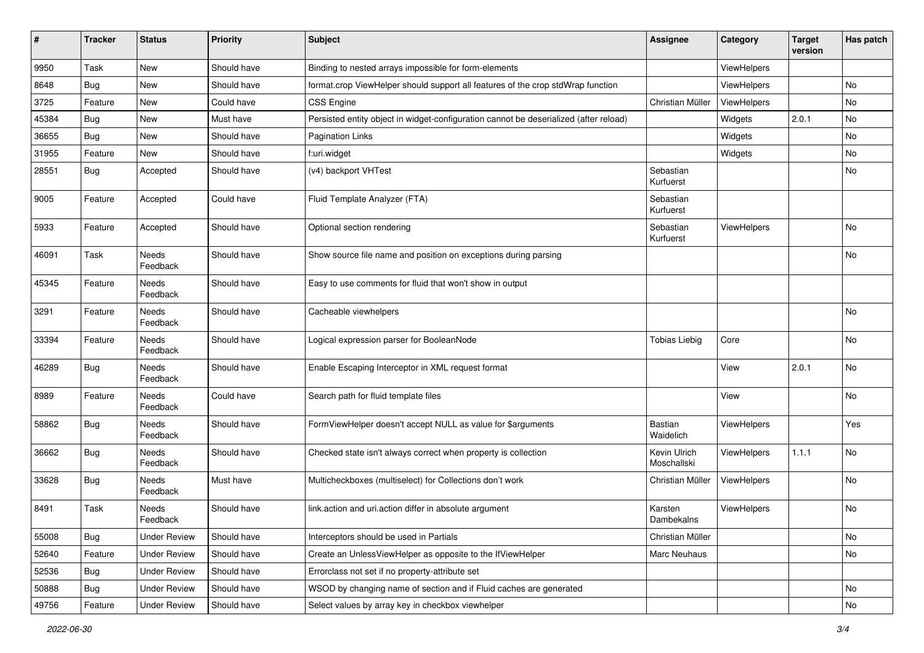| #     | <b>Tracker</b> | <b>Status</b>       | <b>Priority</b> | <b>Subject</b>                                                                        | <b>Assignee</b>             | Category           | <b>Target</b><br>version | Has patch |
|-------|----------------|---------------------|-----------------|---------------------------------------------------------------------------------------|-----------------------------|--------------------|--------------------------|-----------|
| 9950  | Task           | New                 | Should have     | Binding to nested arrays impossible for form-elements                                 |                             | ViewHelpers        |                          |           |
| 8648  | Bug            | New                 | Should have     | format.crop ViewHelper should support all features of the crop stdWrap function       |                             | ViewHelpers        |                          | No        |
| 3725  | Feature        | New                 | Could have      | <b>CSS Engine</b>                                                                     | Christian Müller            | ViewHelpers        |                          | No        |
| 45384 | Bug            | New                 | Must have       | Persisted entity object in widget-configuration cannot be deserialized (after reload) |                             | Widgets            | 2.0.1                    | No        |
| 36655 | <b>Bug</b>     | New                 | Should have     | <b>Pagination Links</b>                                                               |                             | Widgets            |                          | No        |
| 31955 | Feature        | New                 | Should have     | f:uri.widget                                                                          |                             | Widgets            |                          | No        |
| 28551 | Bug            | Accepted            | Should have     | (v4) backport VHTest                                                                  | Sebastian<br>Kurfuerst      |                    |                          | No        |
| 9005  | Feature        | Accepted            | Could have      | Fluid Template Analyzer (FTA)                                                         | Sebastian<br>Kurfuerst      |                    |                          |           |
| 5933  | Feature        | Accepted            | Should have     | Optional section rendering                                                            | Sebastian<br>Kurfuerst      | ViewHelpers        |                          | No        |
| 46091 | Task           | Needs<br>Feedback   | Should have     | Show source file name and position on exceptions during parsing                       |                             |                    |                          | No        |
| 45345 | Feature        | Needs<br>Feedback   | Should have     | Easy to use comments for fluid that won't show in output                              |                             |                    |                          |           |
| 3291  | Feature        | Needs<br>Feedback   | Should have     | Cacheable viewhelpers                                                                 |                             |                    |                          | No        |
| 33394 | Feature        | Needs<br>Feedback   | Should have     | Logical expression parser for BooleanNode                                             | <b>Tobias Liebig</b>        | Core               |                          | <b>No</b> |
| 46289 | Bug            | Needs<br>Feedback   | Should have     | Enable Escaping Interceptor in XML request format                                     |                             | View               | 2.0.1                    | No        |
| 8989  | Feature        | Needs<br>Feedback   | Could have      | Search path for fluid template files                                                  |                             | View               |                          | No        |
| 58862 | Bug            | Needs<br>Feedback   | Should have     | FormViewHelper doesn't accept NULL as value for \$arguments                           | <b>Bastian</b><br>Waidelich | ViewHelpers        |                          | Yes       |
| 36662 | <b>Bug</b>     | Needs<br>Feedback   | Should have     | Checked state isn't always correct when property is collection                        | Kevin Ulrich<br>Moschallski | <b>ViewHelpers</b> | 1.1.1                    | No        |
| 33628 | <b>Bug</b>     | Needs<br>Feedback   | Must have       | Multicheckboxes (multiselect) for Collections don't work                              | Christian Müller            | ViewHelpers        |                          | <b>No</b> |
| 8491  | Task           | Needs<br>Feedback   | Should have     | link.action and uri.action differ in absolute argument                                | Karsten<br>Dambekalns       | ViewHelpers        |                          | No        |
| 55008 | Bug            | <b>Under Review</b> | Should have     | Interceptors should be used in Partials                                               | Christian Müller            |                    |                          | No        |
| 52640 | Feature        | <b>Under Review</b> | Should have     | Create an UnlessViewHelper as opposite to the IfViewHelper                            | Marc Neuhaus                |                    |                          | No        |
| 52536 | <b>Bug</b>     | <b>Under Review</b> | Should have     | Errorclass not set if no property-attribute set                                       |                             |                    |                          |           |
| 50888 | Bug            | <b>Under Review</b> | Should have     | WSOD by changing name of section and if Fluid caches are generated                    |                             |                    |                          | No        |
| 49756 | Feature        | <b>Under Review</b> | Should have     | Select values by array key in checkbox viewhelper                                     |                             |                    |                          | No        |